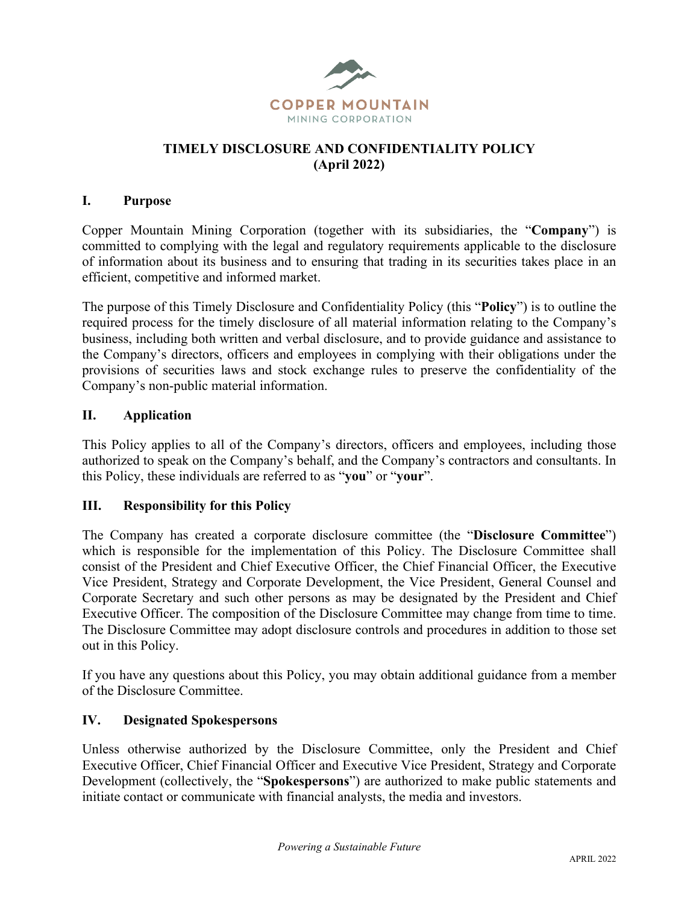

### **TIMELY DISCLOSURE AND CONFIDENTIALITY POLICY (April 2022)**

#### **I. Purpose**

Copper Mountain Mining Corporation (together with its subsidiaries, the "**Company**") is committed to complying with the legal and regulatory requirements applicable to the disclosure of information about its business and to ensuring that trading in its securities takes place in an efficient, competitive and informed market.

The purpose of this Timely Disclosure and Confidentiality Policy (this "**Policy**") is to outline the required process for the timely disclosure of all material information relating to the Company's business, including both written and verbal disclosure, and to provide guidance and assistance to the Company's directors, officers and employees in complying with their obligations under the provisions of securities laws and stock exchange rules to preserve the confidentiality of the Company's non-public material information.

### **II. Application**

This Policy applies to all of the Company's directors, officers and employees, including those authorized to speak on the Company's behalf, and the Company's contractors and consultants. In this Policy, these individuals are referred to as "**you**" or "**your**".

#### **III. Responsibility for this Policy**

The Company has created a corporate disclosure committee (the "**Disclosure Committee**") which is responsible for the implementation of this Policy. The Disclosure Committee shall consist of the President and Chief Executive Officer, the Chief Financial Officer, the Executive Vice President, Strategy and Corporate Development, the Vice President, General Counsel and Corporate Secretary and such other persons as may be designated by the President and Chief Executive Officer. The composition of the Disclosure Committee may change from time to time. The Disclosure Committee may adopt disclosure controls and procedures in addition to those set out in this Policy.

If you have any questions about this Policy, you may obtain additional guidance from a member of the Disclosure Committee.

#### **IV. Designated Spokespersons**

Unless otherwise authorized by the Disclosure Committee, only the President and Chief Executive Officer, Chief Financial Officer and Executive Vice President, Strategy and Corporate Development (collectively, the "**Spokespersons**") are authorized to make public statements and initiate contact or communicate with financial analysts, the media and investors.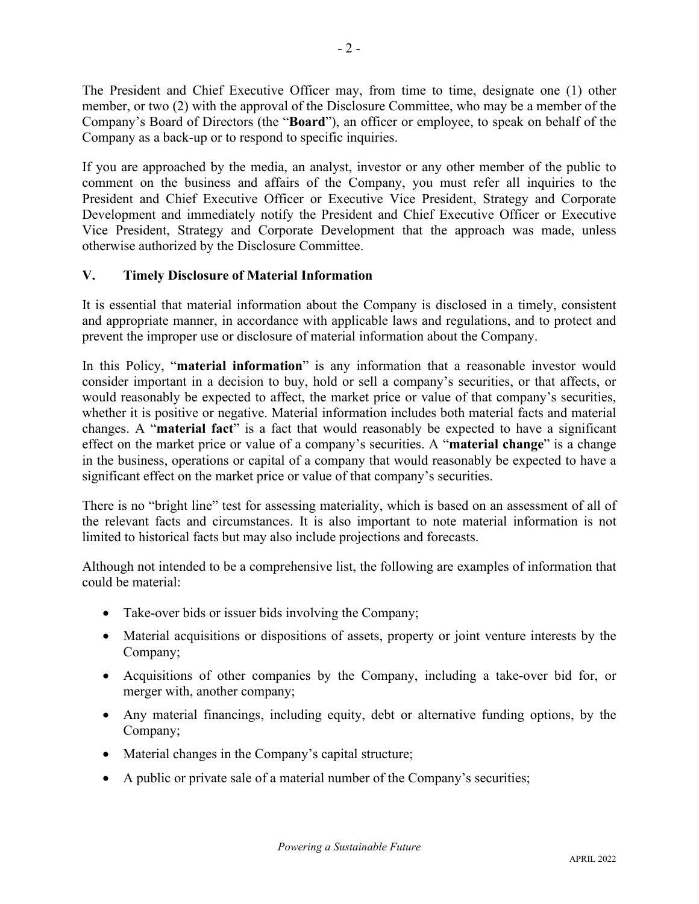The President and Chief Executive Officer may, from time to time, designate one (1) other member, or two (2) with the approval of the Disclosure Committee, who may be a member of the Company's Board of Directors (the "**Board**"), an officer or employee, to speak on behalf of the Company as a back-up or to respond to specific inquiries.

If you are approached by the media, an analyst, investor or any other member of the public to comment on the business and affairs of the Company, you must refer all inquiries to the President and Chief Executive Officer or Executive Vice President, Strategy and Corporate Development and immediately notify the President and Chief Executive Officer or Executive Vice President, Strategy and Corporate Development that the approach was made, unless otherwise authorized by the Disclosure Committee.

# **V. Timely Disclosure of Material Information**

It is essential that material information about the Company is disclosed in a timely, consistent and appropriate manner, in accordance with applicable laws and regulations, and to protect and prevent the improper use or disclosure of material information about the Company.

In this Policy, "**material information**" is any information that a reasonable investor would consider important in a decision to buy, hold or sell a company's securities, or that affects, or would reasonably be expected to affect, the market price or value of that company's securities, whether it is positive or negative. Material information includes both material facts and material changes. A "**material fact**" is a fact that would reasonably be expected to have a significant effect on the market price or value of a company's securities. A "**material change**" is a change in the business, operations or capital of a company that would reasonably be expected to have a significant effect on the market price or value of that company's securities.

There is no "bright line" test for assessing materiality, which is based on an assessment of all of the relevant facts and circumstances. It is also important to note material information is not limited to historical facts but may also include projections and forecasts.

Although not intended to be a comprehensive list, the following are examples of information that could be material:

- Take-over bids or issuer bids involving the Company;
- Material acquisitions or dispositions of assets, property or joint venture interests by the Company;
- Acquisitions of other companies by the Company, including a take-over bid for, or merger with, another company;
- Any material financings, including equity, debt or alternative funding options, by the Company;
- Material changes in the Company's capital structure;
- A public or private sale of a material number of the Company's securities;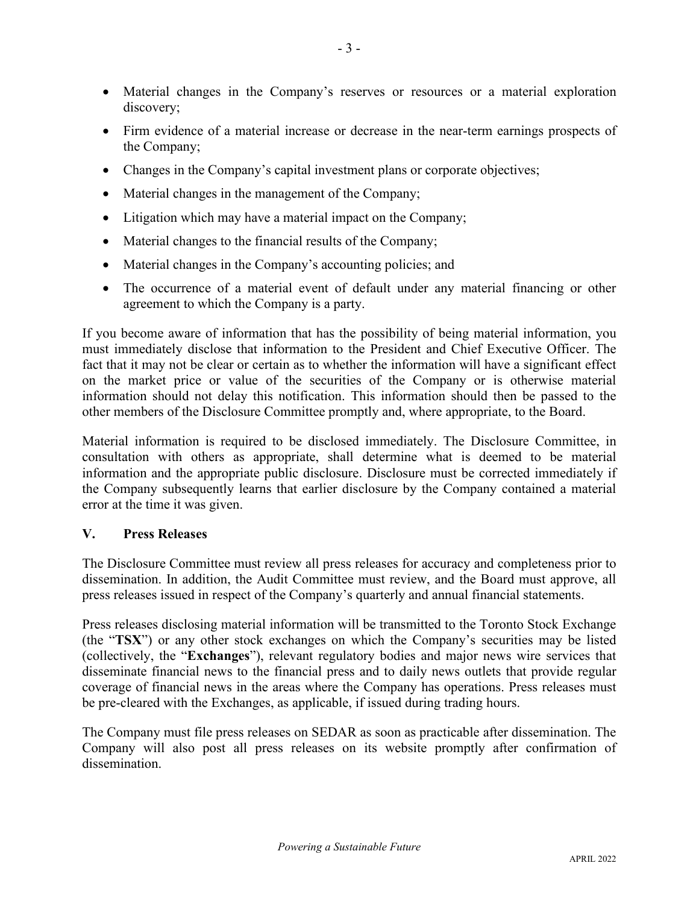- Material changes in the Company's reserves or resources or a material exploration discovery;
- Firm evidence of a material increase or decrease in the near-term earnings prospects of the Company;
- Changes in the Company's capital investment plans or corporate objectives;
- Material changes in the management of the Company;
- Litigation which may have a material impact on the Company;
- Material changes to the financial results of the Company;
- Material changes in the Company's accounting policies; and
- The occurrence of a material event of default under any material financing or other agreement to which the Company is a party.

If you become aware of information that has the possibility of being material information, you must immediately disclose that information to the President and Chief Executive Officer. The fact that it may not be clear or certain as to whether the information will have a significant effect on the market price or value of the securities of the Company or is otherwise material information should not delay this notification. This information should then be passed to the other members of the Disclosure Committee promptly and, where appropriate, to the Board.

Material information is required to be disclosed immediately. The Disclosure Committee, in consultation with others as appropriate, shall determine what is deemed to be material information and the appropriate public disclosure. Disclosure must be corrected immediately if the Company subsequently learns that earlier disclosure by the Company contained a material error at the time it was given.

## **V. Press Releases**

The Disclosure Committee must review all press releases for accuracy and completeness prior to dissemination. In addition, the Audit Committee must review, and the Board must approve, all press releases issued in respect of the Company's quarterly and annual financial statements.

Press releases disclosing material information will be transmitted to the Toronto Stock Exchange (the "**TSX**") or any other stock exchanges on which the Company's securities may be listed (collectively, the "**Exchanges**"), relevant regulatory bodies and major news wire services that disseminate financial news to the financial press and to daily news outlets that provide regular coverage of financial news in the areas where the Company has operations. Press releases must be pre-cleared with the Exchanges, as applicable, if issued during trading hours.

The Company must file press releases on SEDAR as soon as practicable after dissemination. The Company will also post all press releases on its website promptly after confirmation of dissemination.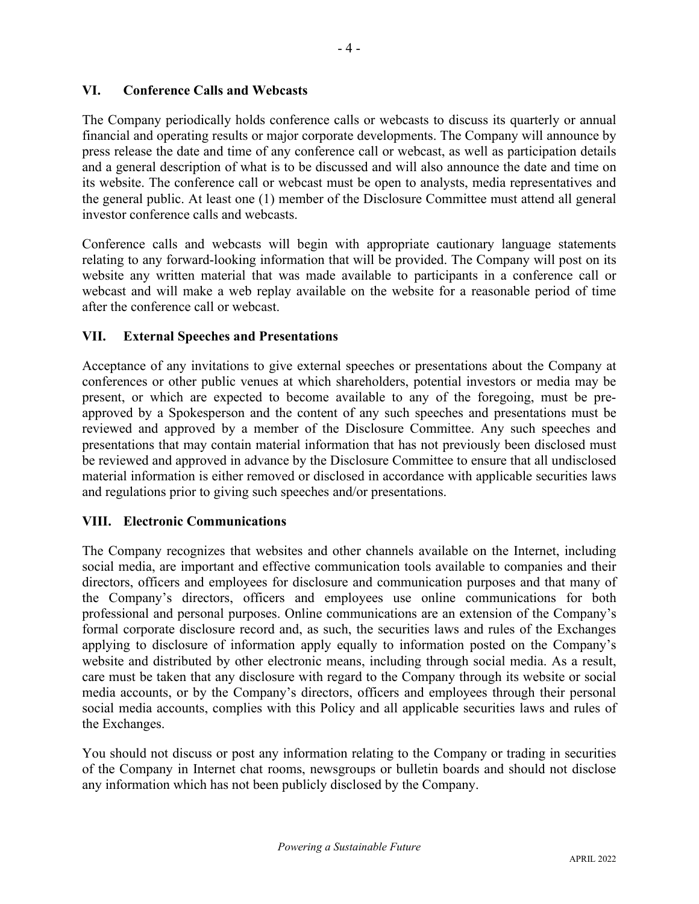#### **VI. Conference Calls and Webcasts**

The Company periodically holds conference calls or webcasts to discuss its quarterly or annual financial and operating results or major corporate developments. The Company will announce by press release the date and time of any conference call or webcast, as well as participation details and a general description of what is to be discussed and will also announce the date and time on its website. The conference call or webcast must be open to analysts, media representatives and the general public. At least one (1) member of the Disclosure Committee must attend all general investor conference calls and webcasts.

Conference calls and webcasts will begin with appropriate cautionary language statements relating to any forward-looking information that will be provided. The Company will post on its website any written material that was made available to participants in a conference call or webcast and will make a web replay available on the website for a reasonable period of time after the conference call or webcast.

#### **VII. External Speeches and Presentations**

Acceptance of any invitations to give external speeches or presentations about the Company at conferences or other public venues at which shareholders, potential investors or media may be present, or which are expected to become available to any of the foregoing, must be preapproved by a Spokesperson and the content of any such speeches and presentations must be reviewed and approved by a member of the Disclosure Committee. Any such speeches and presentations that may contain material information that has not previously been disclosed must be reviewed and approved in advance by the Disclosure Committee to ensure that all undisclosed material information is either removed or disclosed in accordance with applicable securities laws and regulations prior to giving such speeches and/or presentations.

#### **VIII. Electronic Communications**

The Company recognizes that websites and other channels available on the Internet, including social media, are important and effective communication tools available to companies and their directors, officers and employees for disclosure and communication purposes and that many of the Company's directors, officers and employees use online communications for both professional and personal purposes. Online communications are an extension of the Company's formal corporate disclosure record and, as such, the securities laws and rules of the Exchanges applying to disclosure of information apply equally to information posted on the Company's website and distributed by other electronic means, including through social media. As a result, care must be taken that any disclosure with regard to the Company through its website or social media accounts, or by the Company's directors, officers and employees through their personal social media accounts, complies with this Policy and all applicable securities laws and rules of the Exchanges.

You should not discuss or post any information relating to the Company or trading in securities of the Company in Internet chat rooms, newsgroups or bulletin boards and should not disclose any information which has not been publicly disclosed by the Company.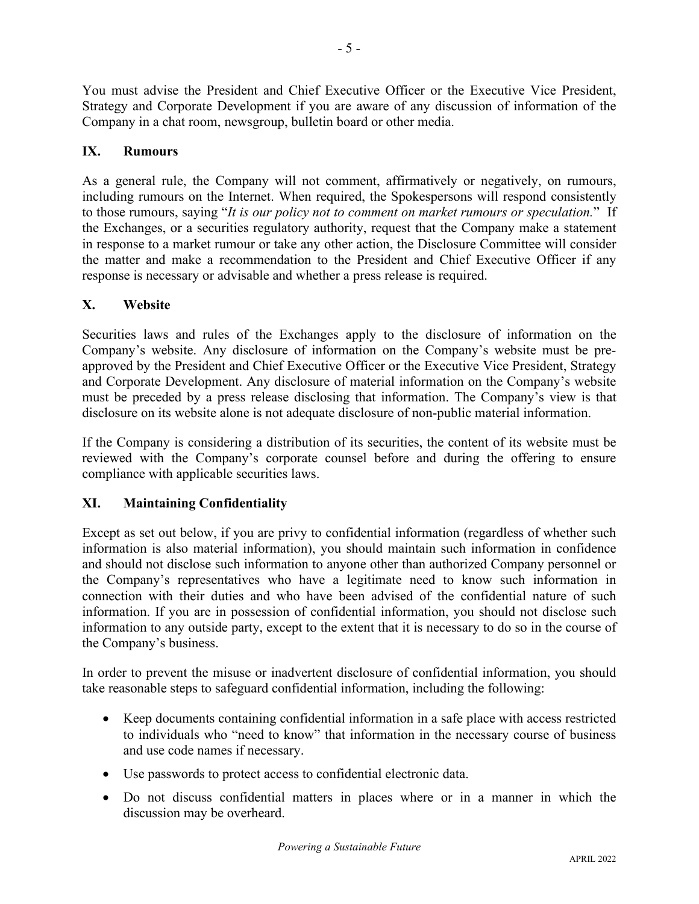You must advise the President and Chief Executive Officer or the Executive Vice President, Strategy and Corporate Development if you are aware of any discussion of information of the Company in a chat room, newsgroup, bulletin board or other media.

# **IX. Rumours**

As a general rule, the Company will not comment, affirmatively or negatively, on rumours, including rumours on the Internet. When required, the Spokespersons will respond consistently to those rumours, saying "*It is our policy not to comment on market rumours or speculation.*" If the Exchanges, or a securities regulatory authority, request that the Company make a statement in response to a market rumour or take any other action, the Disclosure Committee will consider the matter and make a recommendation to the President and Chief Executive Officer if any response is necessary or advisable and whether a press release is required.

## **X. Website**

Securities laws and rules of the Exchanges apply to the disclosure of information on the Company's website. Any disclosure of information on the Company's website must be preapproved by the President and Chief Executive Officer or the Executive Vice President, Strategy and Corporate Development. Any disclosure of material information on the Company's website must be preceded by a press release disclosing that information. The Company's view is that disclosure on its website alone is not adequate disclosure of non-public material information.

If the Company is considering a distribution of its securities, the content of its website must be reviewed with the Company's corporate counsel before and during the offering to ensure compliance with applicable securities laws.

# **XI. Maintaining Confidentiality**

Except as set out below, if you are privy to confidential information (regardless of whether such information is also material information), you should maintain such information in confidence and should not disclose such information to anyone other than authorized Company personnel or the Company's representatives who have a legitimate need to know such information in connection with their duties and who have been advised of the confidential nature of such information. If you are in possession of confidential information, you should not disclose such information to any outside party, except to the extent that it is necessary to do so in the course of the Company's business.

In order to prevent the misuse or inadvertent disclosure of confidential information, you should take reasonable steps to safeguard confidential information, including the following:

- Keep documents containing confidential information in a safe place with access restricted to individuals who "need to know" that information in the necessary course of business and use code names if necessary.
- Use passwords to protect access to confidential electronic data.
- Do not discuss confidential matters in places where or in a manner in which the discussion may be overheard.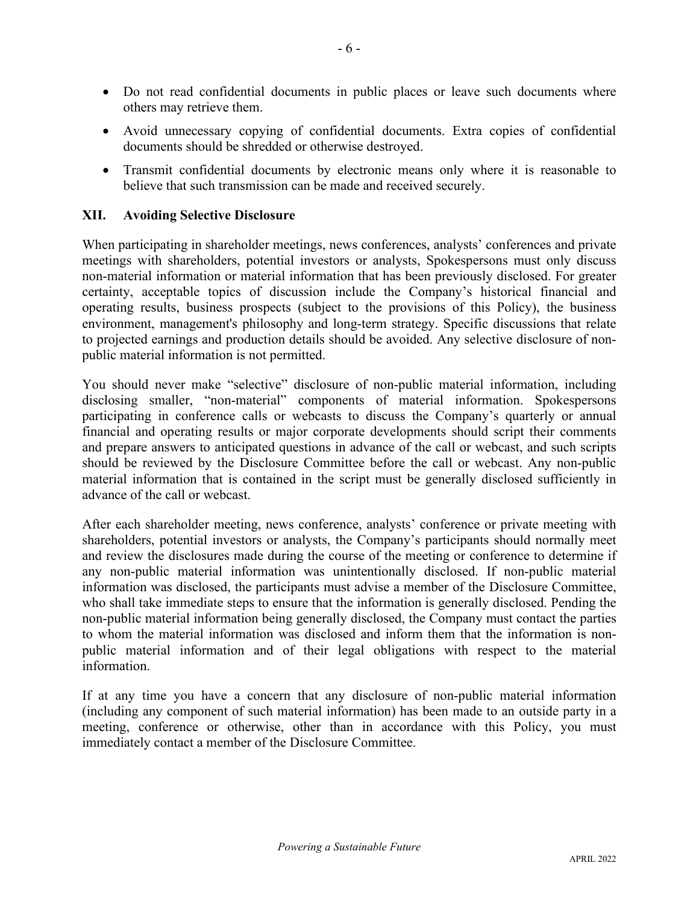- Do not read confidential documents in public places or leave such documents where others may retrieve them.
- Avoid unnecessary copying of confidential documents. Extra copies of confidential documents should be shredded or otherwise destroyed.
- Transmit confidential documents by electronic means only where it is reasonable to believe that such transmission can be made and received securely.

#### **XII. Avoiding Selective Disclosure**

When participating in shareholder meetings, news conferences, analysts' conferences and private meetings with shareholders, potential investors or analysts, Spokespersons must only discuss non-material information or material information that has been previously disclosed. For greater certainty, acceptable topics of discussion include the Company's historical financial and operating results, business prospects (subject to the provisions of this Policy), the business environment, management's philosophy and long-term strategy. Specific discussions that relate to projected earnings and production details should be avoided. Any selective disclosure of nonpublic material information is not permitted.

You should never make "selective" disclosure of non-public material information, including disclosing smaller, "non-material" components of material information. Spokespersons participating in conference calls or webcasts to discuss the Company's quarterly or annual financial and operating results or major corporate developments should script their comments and prepare answers to anticipated questions in advance of the call or webcast, and such scripts should be reviewed by the Disclosure Committee before the call or webcast. Any non-public material information that is contained in the script must be generally disclosed sufficiently in advance of the call or webcast.

After each shareholder meeting, news conference, analysts' conference or private meeting with shareholders, potential investors or analysts, the Company's participants should normally meet and review the disclosures made during the course of the meeting or conference to determine if any non-public material information was unintentionally disclosed. If non-public material information was disclosed, the participants must advise a member of the Disclosure Committee, who shall take immediate steps to ensure that the information is generally disclosed. Pending the non-public material information being generally disclosed, the Company must contact the parties to whom the material information was disclosed and inform them that the information is nonpublic material information and of their legal obligations with respect to the material information.

If at any time you have a concern that any disclosure of non-public material information (including any component of such material information) has been made to an outside party in a meeting, conference or otherwise, other than in accordance with this Policy, you must immediately contact a member of the Disclosure Committee.